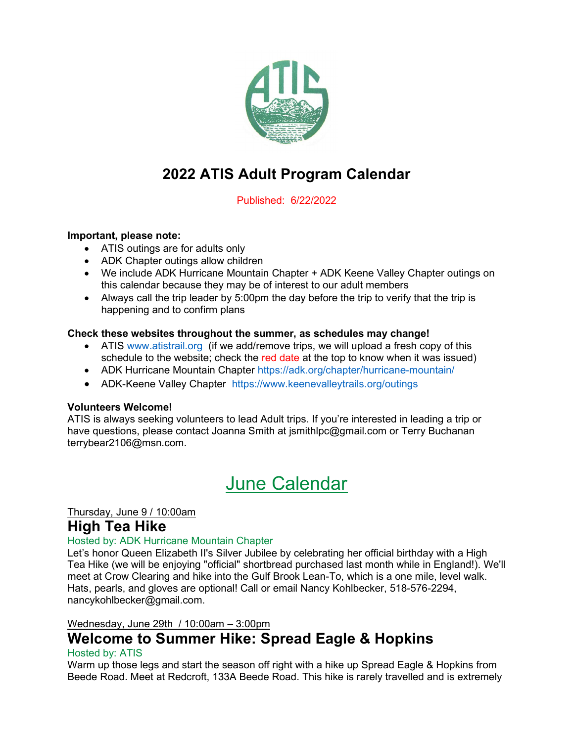

# 2022 ATIS Adult Program Calendar

Published: 6/22/2022

#### Important, please note:

- ATIS outings are for adults only
- ADK Chapter outings allow children
- We include ADK Hurricane Mountain Chapter + ADK Keene Valley Chapter outings on this calendar because they may be of interest to our adult members
- Always call the trip leader by 5:00pm the day before the trip to verify that the trip is happening and to confirm plans

#### Check these websites throughout the summer, as schedules may change!

- ATIS www.atistrail.org (if we add/remove trips, we will upload a fresh copy of this schedule to the website; check the red date at the top to know when it was issued)
- ADK Hurricane Mountain Chapter https://adk.org/chapter/hurricane-mountain/
- ADK-Keene Valley Chapter https://www.keenevalleytrails.org/outings

#### Volunteers Welcome!

ATIS is always seeking volunteers to lead Adult trips. If you're interested in leading a trip or have questions, please contact Joanna Smith at jsmithlpc@gmail.com or Terry Buchanan terrybear2106@msn.com.

# June Calendar

## Thursday, June 9 / 10:00am

# High Tea Hike

#### Hosted by: ADK Hurricane Mountain Chapter

Let's honor Queen Elizabeth II's Silver Jubilee by celebrating her official birthday with a High Tea Hike (we will be enjoying "official" shortbread purchased last month while in England!). We'll meet at Crow Clearing and hike into the Gulf Brook Lean-To, which is a one mile, level walk. Hats, pearls, and gloves are optional! Call or email Nancy Kohlbecker, 518-576-2294, nancykohlbecker@gmail.com.

#### Wednesday, June 29th / 10:00am – 3:00pm

# Welcome to Summer Hike: Spread Eagle & Hopkins

#### Hosted by: ATIS

Warm up those legs and start the season off right with a hike up Spread Eagle & Hopkins from Beede Road. Meet at Redcroft, 133A Beede Road. This hike is rarely travelled and is extremely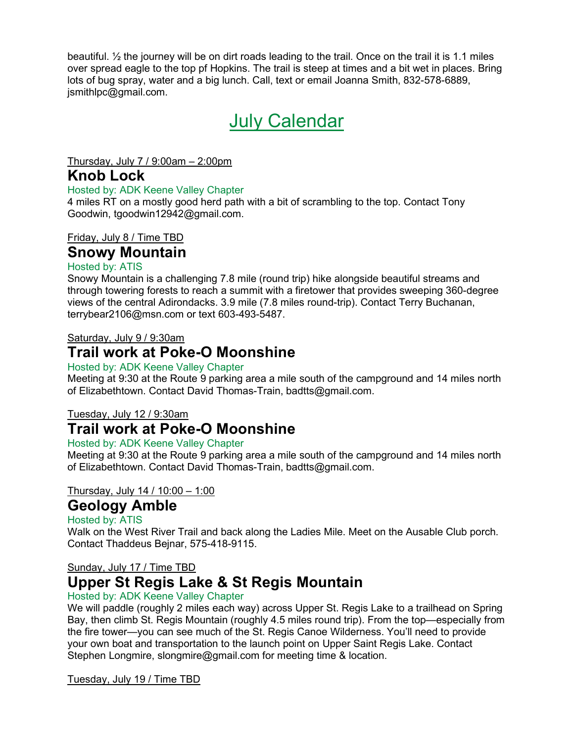beautiful. ½ the journey will be on dirt roads leading to the trail. Once on the trail it is 1.1 miles over spread eagle to the top pf Hopkins. The trail is steep at times and a bit wet in places. Bring lots of bug spray, water and a big lunch. Call, text or email Joanna Smith, 832-578-6889, jsmithlpc@gmail.com.

# July Calendar

Thursday, July 7 / 9:00am – 2:00pm

# Knob Lock

#### Hosted by: ADK Keene Valley Chapter

4 miles RT on a mostly good herd path with a bit of scrambling to the top. Contact Tony Goodwin, tgoodwin12942@gmail.com.

# Friday, July 8 / Time TBD

# Snowy Mountain

## Hosted by: ATIS

Snowy Mountain is a challenging 7.8 mile (round trip) hike alongside beautiful streams and through towering forests to reach a summit with a firetower that provides sweeping 360-degree views of the central Adirondacks. 3.9 mile (7.8 miles round-trip). Contact Terry Buchanan, terrybear2106@msn.com or text 603-493-5487.

### Saturday, July 9 / 9:30am

# Trail work at Poke-O Moonshine

### Hosted by: ADK Keene Valley Chapter

Meeting at 9:30 at the Route 9 parking area a mile south of the campground and 14 miles north of Elizabethtown. Contact David Thomas-Train, badtts@gmail.com.

## Tuesday, July 12 / 9:30am

# Trail work at Poke-O Moonshine

### Hosted by: ADK Keene Valley Chapter

Meeting at 9:30 at the Route 9 parking area a mile south of the campground and 14 miles north of Elizabethtown. Contact David Thomas-Train, badtts@gmail.com.

## Thursday, July 14 / 10:00 – 1:00

# Geology Amble

#### Hosted by: ATIS

Walk on the West River Trail and back along the Ladies Mile. Meet on the Ausable Club porch. Contact Thaddeus Bejnar, 575-418-9115.

## Sunday, July 17 / Time TBD

# Upper St Regis Lake & St Regis Mountain

#### Hosted by: ADK Keene Valley Chapter

We will paddle (roughly 2 miles each way) across Upper St. Regis Lake to a trailhead on Spring Bay, then climb St. Regis Mountain (roughly 4.5 miles round trip). From the top—especially from the fire tower—you can see much of the St. Regis Canoe Wilderness. You'll need to provide your own boat and transportation to the launch point on Upper Saint Regis Lake. Contact Stephen Longmire, slongmire@gmail.com for meeting time & location.

#### Tuesday, July 19 / Time TBD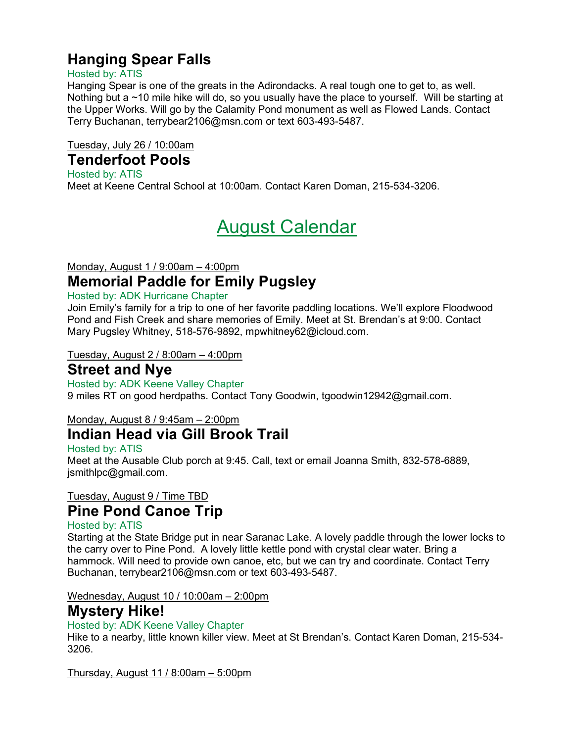# Hanging Spear Falls

## Hosted by: ATIS

Hanging Spear is one of the greats in the Adirondacks. A real tough one to get to, as well. Nothing but a ~10 mile hike will do, so you usually have the place to yourself. Will be starting at the Upper Works. Will go by the Calamity Pond monument as well as Flowed Lands. Contact Terry Buchanan, terrybear2106@msn.com or text 603-493-5487.

Tuesday, July 26 / 10:00am

# Tenderfoot Pools

Hosted by: ATIS Meet at Keene Central School at 10:00am. Contact Karen Doman, 215-534-3206.

# August Calendar

# Monday, August 1 / 9:00am – 4:00pm Memorial Paddle for Emily Pugsley

### Hosted by: ADK Hurricane Chapter

Join Emily's family for a trip to one of her favorite paddling locations. We'll explore Floodwood Pond and Fish Creek and share memories of Emily. Meet at St. Brendan's at 9:00. Contact Mary Pugsley Whitney, 518-576-9892, mpwhitney62@icloud.com.

### Tuesday, August 2 / 8:00am – 4:00pm

# Street and Nye

Hosted by: ADK Keene Valley Chapter 9 miles RT on good herdpaths. Contact Tony Goodwin, tgoodwin12942@gmail.com.

## Monday, August 8 / 9:45am – 2:00pm

# Indian Head via Gill Brook Trail

#### Hosted by: ATIS Meet at the Ausable Club porch at 9:45. Call, text or email Joanna Smith, 832-578-6889, jsmithlpc@gmail.com.

# Tuesday, August 9 / Time TBD

# Pine Pond Canoe Trip

# Hosted by: ATIS

Starting at the State Bridge put in near Saranac Lake. A lovely paddle through the lower locks to the carry over to Pine Pond. A lovely little kettle pond with crystal clear water. Bring a hammock. Will need to provide own canoe, etc, but we can try and coordinate. Contact Terry Buchanan, terrybear2106@msn.com or text 603-493-5487.

## Wednesday, August 10 / 10:00am – 2:00pm

# Mystery Hike!

## Hosted by: ADK Keene Valley Chapter

Hike to a nearby, little known killer view. Meet at St Brendan's. Contact Karen Doman, 215-534- 3206.

Thursday, August 11 / 8:00am – 5:00pm